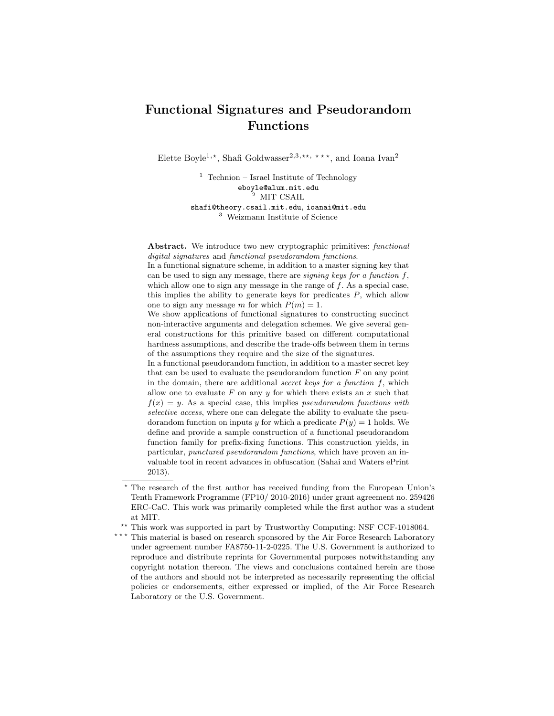# Functional Signatures and Pseudorandom Functions

Elette Boyle<sup>1,\*</sup>, Shafi Goldwasser<sup>2,3,\*\*,\*\*\*</sup>, and Ioana Ivan<sup>2</sup>

<sup>1</sup> Technion – Israel Institute of Technology eboyle@alum.mit.edu  $^{\rm 2}$  MIT CSAIL shafi@theory.csail.mit.edu, ioanai@mit.edu <sup>3</sup> Weizmann Institute of Science

Abstract. We introduce two new cryptographic primitives: functional digital signatures and functional pseudorandom functions.

In a functional signature scheme, in addition to a master signing key that can be used to sign any message, there are *signing keys for a function f*, which allow one to sign any message in the range of  $f$ . As a special case, this implies the ability to generate keys for predicates  $P$ , which allow one to sign any message m for which  $P(m) = 1$ .

We show applications of functional signatures to constructing succinct non-interactive arguments and delegation schemes. We give several general constructions for this primitive based on different computational hardness assumptions, and describe the trade-offs between them in terms of the assumptions they require and the size of the signatures.

In a functional pseudorandom function, in addition to a master secret key that can be used to evaluate the pseudorandom function  $F$  on any point in the domain, there are additional secret keys for a function  $f$ , which allow one to evaluate  $F$  on any  $y$  for which there exists an  $x$  such that  $f(x) = y$ . As a special case, this implies *pseudorandom functions with* selective access, where one can delegate the ability to evaluate the pseudorandom function on inputs y for which a predicate  $P(y) = 1$  holds. We define and provide a sample construction of a functional pseudorandom function family for prefix-fixing functions. This construction yields, in particular, punctured pseudorandom functions, which have proven an invaluable tool in recent advances in obfuscation (Sahai and Waters ePrint 2013).

<sup>?</sup> The research of the first author has received funding from the European Union's Tenth Framework Programme (FP10/ 2010-2016) under grant agreement no. 259426 ERC-CaC. This work was primarily completed while the first author was a student at MIT.

<sup>\*\*</sup> This work was supported in part by Trustworthy Computing: NSF CCF-1018064.

 $^{\star\;\star\;\star}$  This material is based on research sponsored by the Air Force Research Laboratory under agreement number FA8750-11-2-0225. The U.S. Government is authorized to reproduce and distribute reprints for Governmental purposes notwithstanding any copyright notation thereon. The views and conclusions contained herein are those of the authors and should not be interpreted as necessarily representing the official policies or endorsements, either expressed or implied, of the Air Force Research Laboratory or the U.S. Government.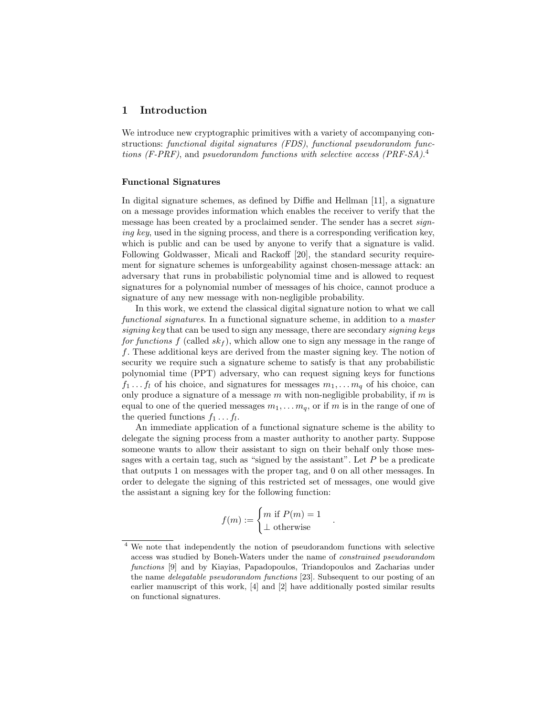# 1 Introduction

We introduce new cryptographic primitives with a variety of accompanying constructions: functional digital signatures (FDS), functional pseudorandom functions (F-PRF), and psuedorandom functions with selective access (PRF-SA). 4

#### Functional Signatures

In digital signature schemes, as defined by Diffie and Hellman [11], a signature on a message provides information which enables the receiver to verify that the message has been created by a proclaimed sender. The sender has a secret signing key, used in the signing process, and there is a corresponding verification key, which is public and can be used by anyone to verify that a signature is valid. Following Goldwasser, Micali and Rackoff [20], the standard security requirement for signature schemes is unforgeability against chosen-message attack: an adversary that runs in probabilistic polynomial time and is allowed to request signatures for a polynomial number of messages of his choice, cannot produce a signature of any new message with non-negligible probability.

In this work, we extend the classical digital signature notion to what we call functional signatures. In a functional signature scheme, in addition to a master signing key that can be used to sign any message, there are secondary signing keys for functions f (called  $sk_f$ ), which allow one to sign any message in the range of f. These additional keys are derived from the master signing key. The notion of security we require such a signature scheme to satisfy is that any probabilistic polynomial time (PPT) adversary, who can request signing keys for functions  $f_1 \ldots f_l$  of his choice, and signatures for messages  $m_1, \ldots, m_q$  of his choice, can only produce a signature of a message  $m$  with non-negligible probability, if  $m$  is equal to one of the queried messages  $m_1, \ldots, m_q$ , or if m is in the range of one of the queried functions  $f_1 \ldots f_l$ .

An immediate application of a functional signature scheme is the ability to delegate the signing process from a master authority to another party. Suppose someone wants to allow their assistant to sign on their behalf only those messages with a certain tag, such as "signed by the assistant". Let  $P$  be a predicate that outputs 1 on messages with the proper tag, and 0 on all other messages. In order to delegate the signing of this restricted set of messages, one would give the assistant a signing key for the following function:

$$
f(m) := \begin{cases} m \text{ if } P(m) = 1\\ \bot \text{ otherwise} \end{cases}
$$

.

<sup>4</sup> We note that independently the notion of pseudorandom functions with selective access was studied by Boneh-Waters under the name of constrained pseudorandom functions [9] and by Kiayias, Papadopoulos, Triandopoulos and Zacharias under the name delegatable pseudorandom functions [23]. Subsequent to our posting of an earlier manuscript of this work, [4] and [2] have additionally posted similar results on functional signatures.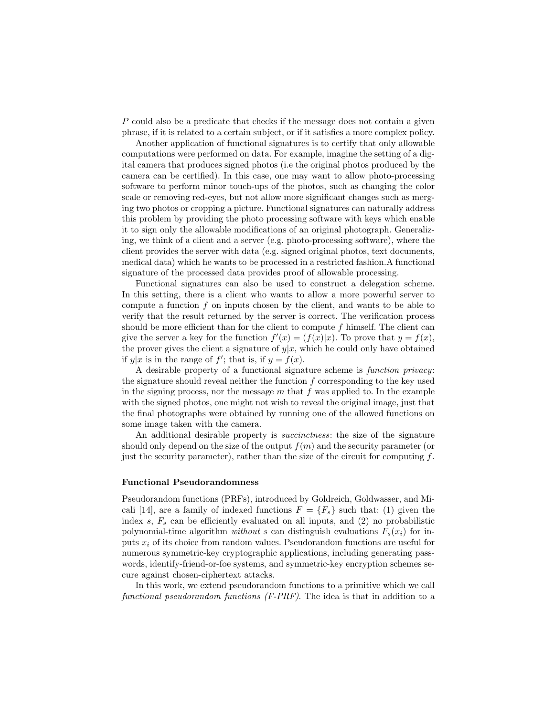P could also be a predicate that checks if the message does not contain a given phrase, if it is related to a certain subject, or if it satisfies a more complex policy.

Another application of functional signatures is to certify that only allowable computations were performed on data. For example, imagine the setting of a digital camera that produces signed photos (i.e the original photos produced by the camera can be certified). In this case, one may want to allow photo-processing software to perform minor touch-ups of the photos, such as changing the color scale or removing red-eyes, but not allow more significant changes such as merging two photos or cropping a picture. Functional signatures can naturally address this problem by providing the photo processing software with keys which enable it to sign only the allowable modifications of an original photograph. Generalizing, we think of a client and a server (e.g. photo-processing software), where the client provides the server with data (e.g. signed original photos, text documents, medical data) which he wants to be processed in a restricted fashion.A functional signature of the processed data provides proof of allowable processing.

Functional signatures can also be used to construct a delegation scheme. In this setting, there is a client who wants to allow a more powerful server to compute a function  $f$  on inputs chosen by the client, and wants to be able to verify that the result returned by the server is correct. The verification process should be more efficient than for the client to compute  $f$  himself. The client can give the server a key for the function  $f'(x) = (f(x)|x)$ . To prove that  $y = f(x)$ , the prover gives the client a signature of  $y|x$ , which he could only have obtained if  $y|x$  is in the range of  $f'$ ; that is, if  $y = f(x)$ .

A desirable property of a functional signature scheme is function privacy: the signature should reveal neither the function  $f$  corresponding to the key used in the signing process, nor the message  $m$  that  $f$  was applied to. In the example with the signed photos, one might not wish to reveal the original image, just that the final photographs were obtained by running one of the allowed functions on some image taken with the camera.

An additional desirable property is *succinctness*: the size of the signature should only depend on the size of the output  $f(m)$  and the security parameter (or just the security parameter), rather than the size of the circuit for computing  $f$ .

#### Functional Pseudorandomness

Pseudorandom functions (PRFs), introduced by Goldreich, Goldwasser, and Micali [14], are a family of indexed functions  $F = \{F_s\}$  such that: (1) given the index s,  $F_s$  can be efficiently evaluated on all inputs, and (2) no probabilistic polynomial-time algorithm without s can distinguish evaluations  $F_s(x_i)$  for inputs  $x_i$  of its choice from random values. Pseudorandom functions are useful for numerous symmetric-key cryptographic applications, including generating passwords, identify-friend-or-foe systems, and symmetric-key encryption schemes secure against chosen-ciphertext attacks.

In this work, we extend pseudorandom functions to a primitive which we call functional pseudorandom functions (F-PRF). The idea is that in addition to a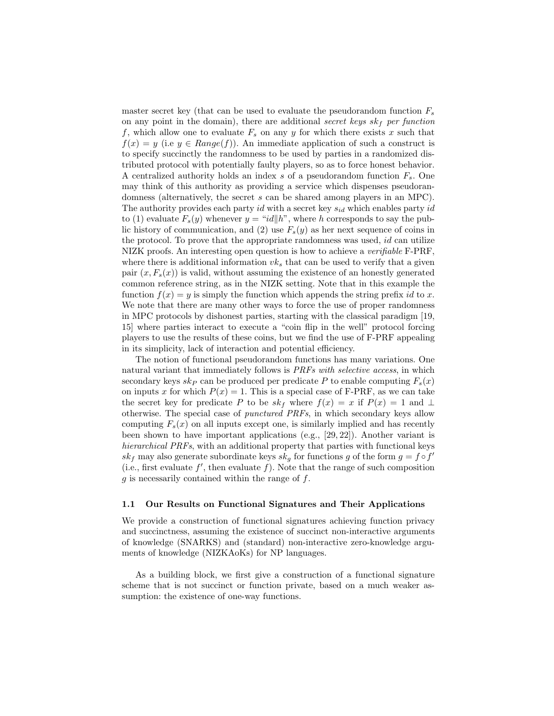master secret key (that can be used to evaluate the pseudorandom function  $F_s$ on any point in the domain), there are additional secret keys  $sk_f$  per function f, which allow one to evaluate  $F_s$  on any y for which there exists x such that  $f(x) = y$  (i.e  $y \in Range(f)$ ). An immediate application of such a construct is to specify succinctly the randomness to be used by parties in a randomized distributed protocol with potentially faulty players, so as to force honest behavior. A centralized authority holds an index s of a pseudorandom function  $F_s$ . One may think of this authority as providing a service which dispenses pseudorandomness (alternatively, the secret s can be shared among players in an MPC). The authority provides each party  $id$  with a secret key  $s_{id}$  which enables party  $id$ to (1) evaluate  $F_s(y)$  whenever  $y = "id||h"$ , where h corresponds to say the public history of communication, and (2) use  $F_s(y)$  as her next sequence of coins in the protocol. To prove that the appropriate randomness was used, id can utilize NIZK proofs. An interesting open question is how to achieve a verifiable F-PRF, where there is additional information  $vk_s$  that can be used to verify that a given pair  $(x, F_s(x))$  is valid, without assuming the existence of an honestly generated common reference string, as in the NIZK setting. Note that in this example the function  $f(x) = y$  is simply the function which appends the string prefix id to x. We note that there are many other ways to force the use of proper randomness in MPC protocols by dishonest parties, starting with the classical paradigm [19, 15] where parties interact to execute a "coin flip in the well" protocol forcing players to use the results of these coins, but we find the use of F-PRF appealing in its simplicity, lack of interaction and potential efficiency.

The notion of functional pseudorandom functions has many variations. One natural variant that immediately follows is *PRFs with selective access*, in which secondary keys  $s k_p$  can be produced per predicate P to enable computing  $F_s(x)$ on inputs x for which  $P(x) = 1$ . This is a special case of F-PRF, as we can take the secret key for predicate P to be  $sk_f$  where  $f(x) = x$  if  $P(x) = 1$  and  $\perp$ otherwise. The special case of punctured PRFs, in which secondary keys allow computing  $F_s(x)$  on all inputs except one, is similarly implied and has recently been shown to have important applications (e.g., [29, 22]). Another variant is hierarchical PRFs, with an additional property that parties with functional keys  $sk_f$  may also generate subordinate keys  $sk_g$  for functions g of the form  $g = f \circ f'$ (i.e., first evaluate  $f'$ , then evaluate  $f$ ). Note that the range of such composition  $g$  is necessarily contained within the range of  $f$ .

#### 1.1 Our Results on Functional Signatures and Their Applications

We provide a construction of functional signatures achieving function privacy and succinctness, assuming the existence of succinct non-interactive arguments of knowledge (SNARKS) and (standard) non-interactive zero-knowledge arguments of knowledge (NIZKAoKs) for NP languages.

As a building block, we first give a construction of a functional signature scheme that is not succinct or function private, based on a much weaker assumption: the existence of one-way functions.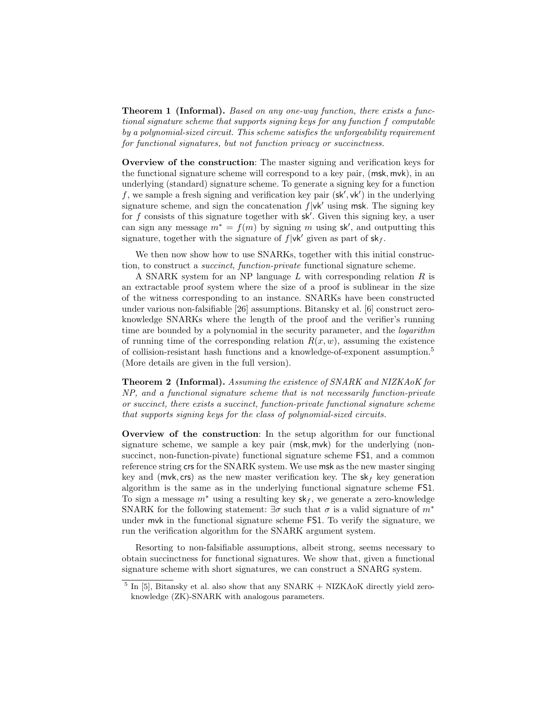**Theorem 1 (Informal).** Based on any one-way function, there exists a functional signature scheme that supports signing keys for any function f computable by a polynomial-sized circuit. This scheme satisfies the unforgeability requirement for functional signatures, but not function privacy or succinctness.

Overview of the construction: The master signing and verification keys for the functional signature scheme will correspond to a key pair, (msk, mvk), in an underlying (standard) signature scheme. To generate a signing key for a function f, we sample a fresh signing and verification key pair  $(\mathsf{sk}', \mathsf{vk}')$  in the underlying signature scheme, and sign the concatenation  $f|\mathsf{vk}'$  using msk. The signing key for f consists of this signature together with  $sk'$ . Given this signing key, a user can sign any message  $m^* = f(m)$  by signing m using sk', and outputting this signature, together with the signature of  $f|\mathsf{vk}'$  given as part of  $\mathsf{sk}_f$ .

We then now show how to use SNARKs, together with this initial construction, to construct a succinct, function-private functional signature scheme.

A SNARK system for an NP language L with corresponding relation  $R$  is an extractable proof system where the size of a proof is sublinear in the size of the witness corresponding to an instance. SNARKs have been constructed under various non-falsifiable [26] assumptions. Bitansky et al. [6] construct zeroknowledge SNARKs where the length of the proof and the verifier's running time are bounded by a polynomial in the security parameter, and the *logarithm* of running time of the corresponding relation  $R(x, w)$ , assuming the existence of collision-resistant hash functions and a knowledge-of-exponent assumption.<sup>5</sup> (More details are given in the full version).

Theorem 2 (Informal). Assuming the existence of SNARK and NIZKAoK for NP, and a functional signature scheme that is not necessarily function-private or succinct, there exists a succinct, function-private functional signature scheme that supports signing keys for the class of polynomial-sized circuits.

Overview of the construction: In the setup algorithm for our functional signature scheme, we sample a key pair (msk, mvk) for the underlying (nonsuccinct, non-function-pivate) functional signature scheme FS1, and a common reference string crs for the SNARK system. We use msk as the new master singing key and (mvk, crs) as the new master verification key. The  $sk_f$  key generation algorithm is the same as in the underlying functional signature scheme FS1. To sign a message  $m^*$  using a resulting key  $sk_f$ , we generate a zero-knowledge SNARK for the following statement:  $\exists \sigma$  such that  $\sigma$  is a valid signature of  $m^*$ under mvk in the functional signature scheme FS1. To verify the signature, we run the verification algorithm for the SNARK argument system.

Resorting to non-falsifiable assumptions, albeit strong, seems necessary to obtain succinctness for functional signatures. We show that, given a functional signature scheme with short signatures, we can construct a SNARG system.

 $<sup>5</sup>$  In [5], Bitansky et al. also show that any SNARK + NIZKAoK directly yield zero-</sup> knowledge (ZK)-SNARK with analogous parameters.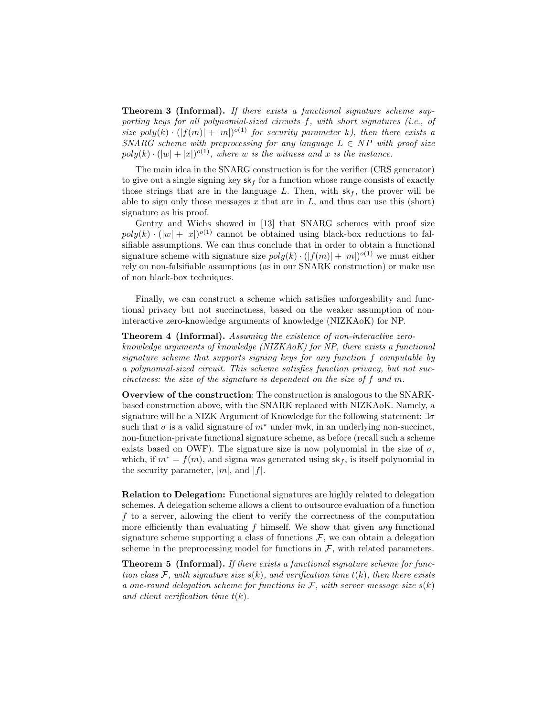Theorem 3 (Informal). If there exists a functional signature scheme supporting keys for all polynomial-sized circuits f, with short signatures (i.e., of size  $poly(k) \cdot (|f(m)| + |m|)^{o(1)}$  for security parameter k), then there exists a SNARG scheme with preprocessing for any language  $L \in NP$  with proof size  $poly(k) \cdot (|w|+|x|)^{o(1)}$ , where w is the witness and x is the instance.

The main idea in the SNARG construction is for the verifier (CRS generator) to give out a single signing key  $sk_f$  for a function whose range consists of exactly those strings that are in the language L. Then, with  $sk_f$ , the prover will be able to sign only those messages x that are in  $L$ , and thus can use this (short) signature as his proof.

Gentry and Wichs showed in [13] that SNARG schemes with proof size  $poly(k) \cdot (|w| + |x|)^{o(1)}$  cannot be obtained using black-box reductions to falsifiable assumptions. We can thus conclude that in order to obtain a functional signature scheme with signature size  $poly(k) \cdot (|f(m)| + |m|)^{o(1)}$  we must either rely on non-falsifiable assumptions (as in our SNARK construction) or make use of non black-box techniques.

Finally, we can construct a scheme which satisfies unforgeability and functional privacy but not succinctness, based on the weaker assumption of noninteractive zero-knowledge arguments of knowledge (NIZKAoK) for NP.

Theorem 4 (Informal). Assuming the existence of non-interactive zeroknowledge arguments of knowledge (NIZKAoK) for NP, there exists a functional signature scheme that supports signing keys for any function f computable by a polynomial-sized circuit. This scheme satisfies function privacy, but not succinctness: the size of the signature is dependent on the size of f and m.

Overview of the construction: The construction is analogous to the SNARKbased construction above, with the SNARK replaced with NIZKAoK. Namely, a signature will be a NIZK Argument of Knowledge for the following statement:  $\exists \sigma$ such that  $\sigma$  is a valid signature of  $m^*$  under mvk, in an underlying non-succinct, non-function-private functional signature scheme, as before (recall such a scheme exists based on OWF). The signature size is now polynomial in the size of  $\sigma$ , which, if  $m^* = f(m)$ , and sigma was generated using  $sk_f$ , is itself polynomial in the security parameter,  $|m|$ , and  $|f|$ .

Relation to Delegation: Functional signatures are highly related to delegation schemes. A delegation scheme allows a client to outsource evaluation of a function f to a server, allowing the client to verify the correctness of the computation more efficiently than evaluating  $f$  himself. We show that given any functional signature scheme supporting a class of functions  $\mathcal{F}$ , we can obtain a delegation scheme in the preprocessing model for functions in  $F$ , with related parameters.

Theorem 5 (Informal). If there exists a functional signature scheme for function class F, with signature size  $s(k)$ , and verification time  $t(k)$ , then there exists a one-round delegation scheme for functions in  $\mathcal{F}$ , with server message size  $s(k)$ and client verification time  $t(k)$ .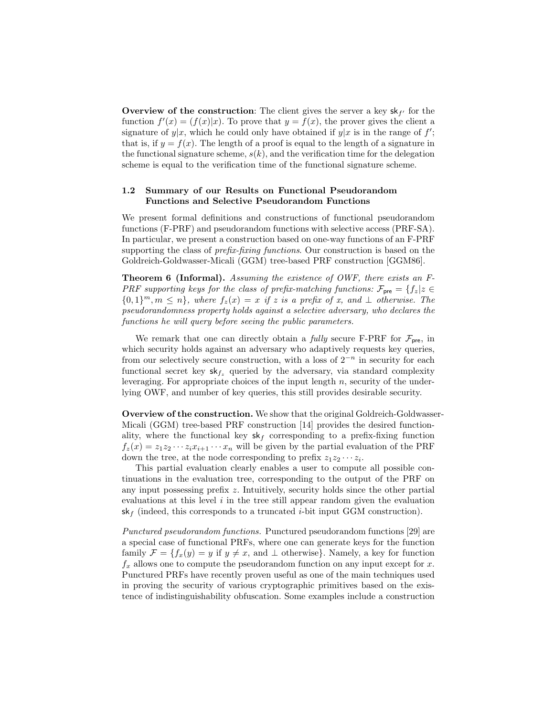**Overview of the construction**: The client gives the server a key  $sk_{f'}$  for the function  $f'(x) = (f(x)|x)$ . To prove that  $y = f(x)$ , the prover gives the client a signature of  $y|x$ , which he could only have obtained if  $y|x$  is in the range of f'; that is, if  $y = f(x)$ . The length of a proof is equal to the length of a signature in the functional signature scheme,  $s(k)$ , and the verification time for the delegation scheme is equal to the verification time of the functional signature scheme.

## 1.2 Summary of our Results on Functional Pseudorandom Functions and Selective Pseudorandom Functions

We present formal definitions and constructions of functional pseudorandom functions (F-PRF) and pseudorandom functions with selective access (PRF-SA). In particular, we present a construction based on one-way functions of an F-PRF supporting the class of *prefix-fixing functions*. Our construction is based on the Goldreich-Goldwasser-Micali (GGM) tree-based PRF construction [GGM86].

Theorem 6 (Informal). Assuming the existence of OWF, there exists an F-PRF supporting keys for the class of prefix-matching functions:  $\mathcal{F}_{pre} = \{f_z | z \in$  ${0,1}<sup>m</sup>, m \leq n$ , where  $f_z(x) = x$  if z is a prefix of x, and  $\perp$  otherwise. The pseudorandomness property holds against a selective adversary, who declares the functions he will query before seeing the public parameters.

We remark that one can directly obtain a *fully* secure F-PRF for  $\mathcal{F}_{pre}$ , in which security holds against an adversary who adaptively requests key queries, from our selectively secure construction, with a loss of  $2^{-n}$  in security for each functional secret key  $sk_{f_z}$  queried by the adversary, via standard complexity leveraging. For appropriate choices of the input length  $n$ , security of the underlying OWF, and number of key queries, this still provides desirable security.

Overview of the construction. We show that the original Goldreich-Goldwasser-Micali (GGM) tree-based PRF construction [14] provides the desired functionality, where the functional key  $sk_f$  corresponding to a prefix-fixing function  $f_z(x) = z_1 z_2 \cdots z_i x_{i+1} \cdots x_n$  will be given by the partial evaluation of the PRF down the tree, at the node corresponding to prefix  $z_1 z_2 \cdots z_i$ .

This partial evaluation clearly enables a user to compute all possible continuations in the evaluation tree, corresponding to the output of the PRF on any input possessing prefix z. Intuitively, security holds since the other partial evaluations at this level  $i$  in the tree still appear random given the evaluation  $sk_f$  (indeed, this corresponds to a truncated *i*-bit input GGM construction).

Punctured pseudorandom functions. Punctured pseudorandom functions [29] are a special case of functional PRFs, where one can generate keys for the function family  $\mathcal{F} = \{f_x(y) = y \text{ if } y \neq x, \text{ and } \bot \text{ otherwise}\}.$  Namely, a key for function  $f_x$  allows one to compute the pseudorandom function on any input except for x. Punctured PRFs have recently proven useful as one of the main techniques used in proving the security of various cryptographic primitives based on the existence of indistinguishability obfuscation. Some examples include a construction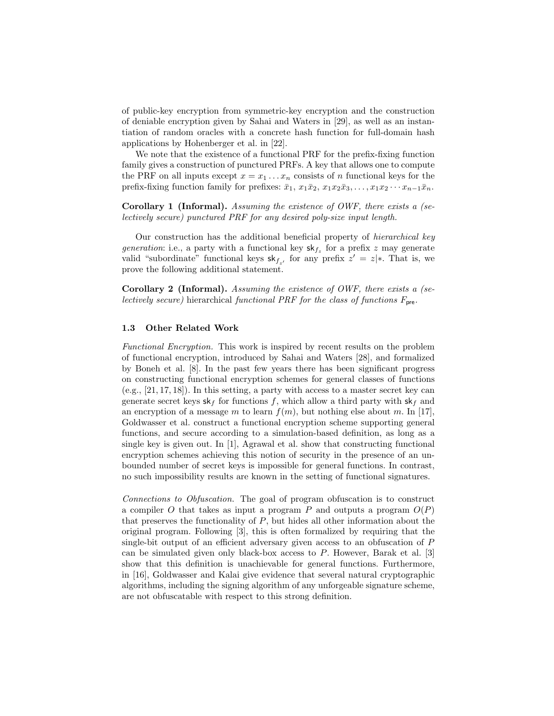of public-key encryption from symmetric-key encryption and the construction of deniable encryption given by Sahai and Waters in [29], as well as an instantiation of random oracles with a concrete hash function for full-domain hash applications by Hohenberger et al. in [22].

We note that the existence of a functional PRF for the prefix-fixing function family gives a construction of punctured PRFs. A key that allows one to compute the PRF on all inputs except  $x = x_1 \dots x_n$  consists of n functional keys for the prefix-fixing function family for prefixes:  $\bar{x}_1, x_1\bar{x}_2, x_1x_2\bar{x}_3, \ldots, x_1x_2\cdots x_{n-1}\bar{x}_n$ .

Corollary 1 (Informal). Assuming the existence of OWF, there exists a (selectively secure) punctured PRF for any desired poly-size input length.

Our construction has the additional beneficial property of hierarchical key *generation*: i.e., a party with a functional key  $sk_{f_z}$  for a prefix z may generate valid "subordinate" functional keys  $\mathsf{sk}_{f_{z'}}$  for any prefix  $z' = z | *$ . That is, we prove the following additional statement.

Corollary 2 (Informal). Assuming the existence of OWF, there exists a (selectively secure) hierarchical functional PRF for the class of functions  $F_{\text{pre}}$ .

## 1.3 Other Related Work

Functional Encryption. This work is inspired by recent results on the problem of functional encryption, introduced by Sahai and Waters [28], and formalized by Boneh et al. [8]. In the past few years there has been significant progress on constructing functional encryption schemes for general classes of functions (e.g., [21, 17, 18]). In this setting, a party with access to a master secret key can generate secret keys  $sk_f$  for functions f, which allow a third party with  $sk_f$  and an encryption of a message m to learn  $f(m)$ , but nothing else about m. In [17], Goldwasser et al. construct a functional encryption scheme supporting general functions, and secure according to a simulation-based definition, as long as a single key is given out. In [1], Agrawal et al. show that constructing functional encryption schemes achieving this notion of security in the presence of an unbounded number of secret keys is impossible for general functions. In contrast, no such impossibility results are known in the setting of functional signatures.

Connections to Obfuscation. The goal of program obfuscation is to construct a compiler  $O$  that takes as input a program  $P$  and outputs a program  $O(P)$ that preserves the functionality of  $P$ , but hides all other information about the original program. Following [3], this is often formalized by requiring that the single-bit output of an efficient adversary given access to an obfuscation of P can be simulated given only black-box access to P. However, Barak et al. [3] show that this definition is unachievable for general functions. Furthermore, in [16], Goldwasser and Kalai give evidence that several natural cryptographic algorithms, including the signing algorithm of any unforgeable signature scheme, are not obfuscatable with respect to this strong definition.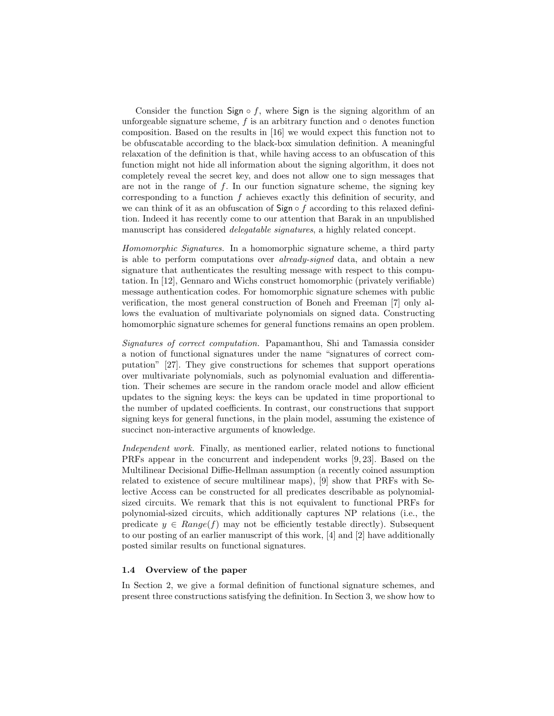Consider the function Sign  $\circ$  f, where Sign is the signing algorithm of an unforgeable signature scheme,  $f$  is an arbitrary function and  $\circ$  denotes function composition. Based on the results in [16] we would expect this function not to be obfuscatable according to the black-box simulation definition. A meaningful relaxation of the definition is that, while having access to an obfuscation of this function might not hide all information about the signing algorithm, it does not completely reveal the secret key, and does not allow one to sign messages that are not in the range of  $f$ . In our function signature scheme, the signing key corresponding to a function  $f$  achieves exactly this definition of security, and we can think of it as an obfuscation of  $Sign \circ f$  according to this relaxed definition. Indeed it has recently come to our attention that Barak in an unpublished manuscript has considered *delegatable signatures*, a highly related concept.

Homomorphic Signatures. In a homomorphic signature scheme, a third party is able to perform computations over already-signed data, and obtain a new signature that authenticates the resulting message with respect to this computation. In [12], Gennaro and Wichs construct homomorphic (privately verifiable) message authentication codes. For homomorphic signature schemes with public verification, the most general construction of Boneh and Freeman [7] only allows the evaluation of multivariate polynomials on signed data. Constructing homomorphic signature schemes for general functions remains an open problem.

Signatures of correct computation. Papamanthou, Shi and Tamassia consider a notion of functional signatures under the name "signatures of correct computation" [27]. They give constructions for schemes that support operations over multivariate polynomials, such as polynomial evaluation and differentiation. Their schemes are secure in the random oracle model and allow efficient updates to the signing keys: the keys can be updated in time proportional to the number of updated coefficients. In contrast, our constructions that support signing keys for general functions, in the plain model, assuming the existence of succinct non-interactive arguments of knowledge.

Independent work. Finally, as mentioned earlier, related notions to functional PRFs appear in the concurrent and independent works [9, 23]. Based on the Multilinear Decisional Diffie-Hellman assumption (a recently coined assumption related to existence of secure multilinear maps), [9] show that PRFs with Selective Access can be constructed for all predicates describable as polynomialsized circuits. We remark that this is not equivalent to functional PRFs for polynomial-sized circuits, which additionally captures NP relations (i.e., the predicate  $y \in Range(f)$  may not be efficiently testable directly). Subsequent to our posting of an earlier manuscript of this work, [4] and [2] have additionally posted similar results on functional signatures.

## 1.4 Overview of the paper

In Section 2, we give a formal definition of functional signature schemes, and present three constructions satisfying the definition. In Section 3, we show how to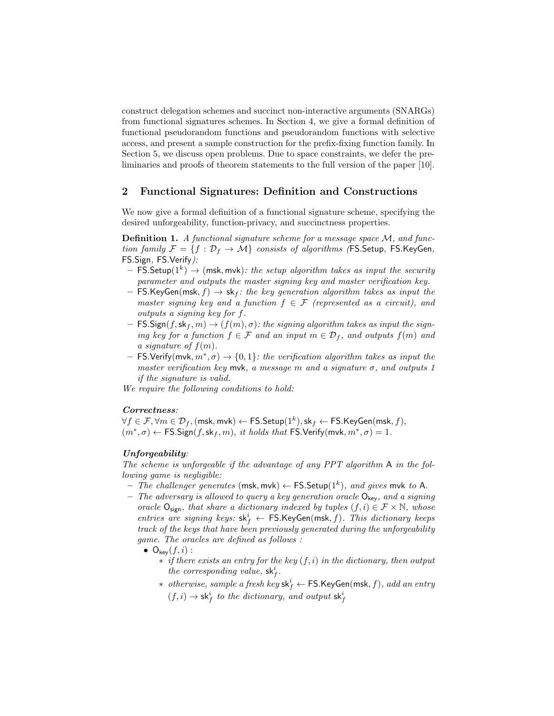construct delegation schemes and succinct non-interactive arguments (SNARGs) from functional signatures schemes. In Section 4, we give a formal definition of functional pseudorandom functions and pseudorandom functions with selective access, and present a sample construction for the prefix-fixing function family. In Section 5, we discuss open problems. Due to space constraints, we defer the preliminaries and proofs of theorem statements to the full version of the paper [10].

## 2 Functional Signatures: Definition and Constructions

We now give a formal definition of a functional signature scheme, specifying the desired unforgeability, function-privacy, and succinctness properties.

**Definition 1.** A functional signature scheme for a message space  $M$ , and function family  $\mathcal{F} = \{f : \mathcal{D}_f \to \mathcal{M}\}\$ consists of algorithms (FS.Setup, FS.KeyGen, FS.Sign, FS.Verify):

- $-$  FS.Setup( $1^k$ )  $\rightarrow$  (msk, mvk): the setup algorithm takes as input the security parameter and outputs the master signing key and master verification key.
- FS.KeyGen(msk,  $f$ )  $\rightarrow$  sk<sub>f</sub>: the key generation algorithm takes as input the master signing key and a function  $f \in \mathcal{F}$  (represented as a circuit), and outputs a signing key for f.
- $\mathsf{FS}.Sign(f, sk_f, m) \rightarrow (f(m), \sigma)$ : the signing algorithm takes as input the signing key for a function  $f \in \mathcal{F}$  and an input  $m \in \mathcal{D}_f$ , and outputs  $f(m)$  and a signature of  $f(m)$ .
- $-$  FS.Verify(mνk,  $m^*$ ,  $\sigma$ )  $\rightarrow$  {0, 1}: the verification algorithm takes as input the master verification key mvk, a message m and a signature  $\sigma$ , and outputs 1 if the signature is valid.
- We require the following conditions to hold:

### Correctness:

 $\forall f \in \mathcal{F}, \forall m \in \mathcal{D}_f, (\textsf{msk}, \textsf{mvk}) \leftarrow \textsf{FS}.\textsf{Setup}(1^k), \textsf{sk}_f \leftarrow \textsf{FS}.\textsf{KeyGen}(\textsf{msk}, f),$  $(m^*, \sigma) \leftarrow \textsf{FS}.Sign(f, sk_f, m),$  it holds that FS. Verify(mvk,  $m^*, \sigma) = 1$ .

#### Unforgeability:

The scheme is unforgeable if the advantage of any PPT algorithm A in the following game is negligible:

- The challenger generates (msk, mvk)  $\leftarrow$  FS. Setup(1<sup>k</sup>), and gives mvk to A.
- The adversary is allowed to query a key generation oracle  $O_{\text{key}}$ , and a signing oracle  $O_{\text{sign}}$ , that share a dictionary indexed by tuples  $(f, i) \in \mathcal{F} \times \mathbb{N}$ , whose entries are signing keys:  $sk_f^i$   $\leftarrow$  FS.KeyGen(msk, f). This dictionary keeps track of the keys that have been previously generated during the unforgeability game. The oracles are defined as follows :
	- $\bullet$  O<sub>key</sub> $(f, i)$  :
		- $*$  if there exists an entry for the key  $(f, i)$  in the dictionary, then output the corresponding value,  $sk_f^i$ .
		- ∗ otherwise, sample a fresh key  $\mathsf{sk}_f^i$   $\leftarrow$  <code>FS.KeyGen(msk, f), add an entry</code>  $(f, i) \rightarrow \mathsf{sk}_f^i$  to the dictionary, and output  $\mathsf{sk}_f^i$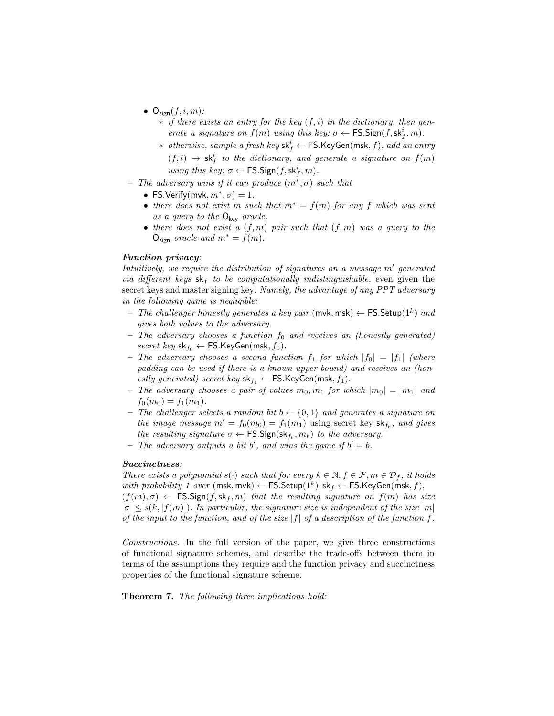- $\bullet$  O<sub>sign</sub> $(f, i, m)$ :
	- $*$  if there exists an entry for the key  $(f, i)$  in the dictionary, then generate a signature on  $f(m)$  using this key:  $\sigma \leftarrow \textsf{FS.Sign}(f, \textsf{sk}_f^i, m)$ .
	- $*$  otherwise, sample a fresh key  $\mathsf{sk}_f^i \leftarrow \mathsf{FS}.\mathsf{KeyGen}(\mathsf{msk}, f), \textit{add an entry}$  $(f, i) \rightarrow \mathsf{sk}_f^i$  to the dictionary, and generate a signature on  $f(m)$ using this key:  $\sigma \leftarrow \textsf{FS.Sign}(f, \textsf{sk}_f^i, m)$ .
- $-$  The adversary wins if it can produce  $(m^*, \sigma)$  such that
	- FS.Verify $(mvk, m^*, \sigma) = 1$ .
	- there does not exist m such that  $m^* = f(m)$  for any f which was sent as a query to the O<sub>key</sub> oracle.
	- there does not exist a  $(f, m)$  pair such that  $(f, m)$  was a query to the  $\mathsf{O}_{\textsf{sign}}$  oracle and  $m^* = f(m)$ .

#### Function privacy:

Intuitively, we require the distribution of signatures on a message  $m'$  generated via different keys  $sk_f$  to be computationally indistinguishable, even given the secret keys and master signing key. Namely, the advantage of any PPT adversary in the following game is negligible:

- $-$  The challenger honestly generates a key pair (mvk, msk)  $\leftarrow$  FS.Setup(1 $^k$ ) and gives both values to the adversary.
- $-$  The adversary chooses a function  $f_0$  and receives an (honestly generated) secret key  $\mathsf{sk}_{f_0} \leftarrow \mathsf{FS}.\mathsf{KeyGen}(\mathsf{msk}, f_0).$
- The adversary chooses a second function  $f_1$  for which  $|f_0| = |f_1|$  (where padding can be used if there is a known upper bound) and receives an (honestly generated) secret key  $sk_{f_1} \leftarrow FS.KeyGen(msk, f_1)$ .
- The adversary chooses a pair of values  $m_0, m_1$  for which  $|m_0| = |m_1|$  and  $f_0(m_0) = f_1(m_1).$
- The challenger selects a random bit  $b \leftarrow \{0,1\}$  and generates a signature on the image message  $m' = f_0(m_0) = f_1(m_1)$  using secret key sk<sub>f<sub>b</sub></sub>, and gives the resulting signature  $\sigma \leftarrow \textsf{FS}.Sign(\textsf{sk}_{f_b}, m_b)$  to the adversary.
- The adversary outputs a bit b', and wins the game if  $b' = b$ .

#### Succinctness:

There exists a polynomial s(·) such that for every  $k \in \mathbb{N}$ ,  $f \in \mathcal{F}$ ,  $m \in \mathcal{D}_f$ , it holds with probability 1 over  $(\textsf{msk}, \textsf{mvk}) \leftarrow \textsf{FS}.\textsf{Setup}(1^k), \textsf{sk}_f \leftarrow \textsf{FS}.\textsf{KeyGen}(\textsf{msk}, f),$  $(f(m), \sigma) \leftarrow \textsf{FS}.Sign(f, sk_f, m)$  that the resulting signature on  $f(m)$  has size  $|\sigma| \leq s(k, |f(m)|)$ . In particular, the signature size is independent of the size  $|m|$ of the input to the function, and of the size  $|f|$  of a description of the function f.

Constructions. In the full version of the paper, we give three constructions of functional signature schemes, and describe the trade-offs between them in terms of the assumptions they require and the function privacy and succinctness properties of the functional signature scheme.

Theorem 7. The following three implications hold: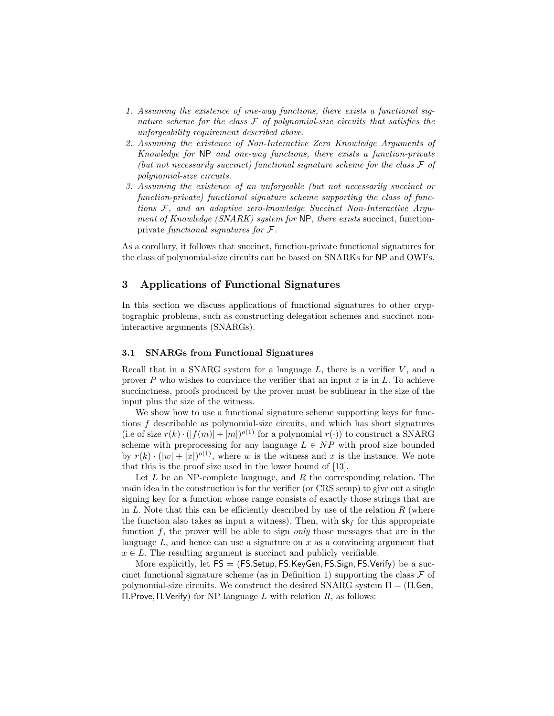- 1. Assuming the existence of one-way functions, there exists a functional signature scheme for the class  $\mathcal F$  of polynomial-size circuits that satisfies the unforgeability requirement described above.
- 2. Assuming the existence of Non-Interactive Zero Knowledge Arguments of Knowledge for NP and one-way functions, there exists a function-private (but not necessarily succinct) functional signature scheme for the class  $\mathcal F$  of polynomial-size circuits.
- 3. Assuming the existence of an unforgeable (but not necessarily succinct or function-private) functional signature scheme supporting the class of functions F, and an adaptive zero-knowledge Succinct Non-Interactive Argument of Knowledge (SNARK) system for NP, there exists succinct, functionprivate functional signatures for F.

As a corollary, it follows that succinct, function-private functional signatures for the class of polynomial-size circuits can be based on SNARKs for NP and OWFs.

# 3 Applications of Functional Signatures

In this section we discuss applications of functional signatures to other cryptographic problems, such as constructing delegation schemes and succinct noninteractive arguments (SNARGs).

## 3.1 SNARGs from Functional Signatures

Recall that in a SNARG system for a language  $L$ , there is a verifier  $V$ , and a prover  $P$  who wishes to convince the verifier that an input  $x$  is in  $L$ . To achieve succinctness, proofs produced by the prover must be sublinear in the size of the input plus the size of the witness.

We show how to use a functional signature scheme supporting keys for functions f describable as polynomial-size circuits, and which has short signatures (i.e of size  $r(k) \cdot (|f(m)| + |m|)^{o(1)}$  for a polynomial  $r(\cdot)$ ) to construct a SNARG scheme with preprocessing for any language  $L \in NP$  with proof size bounded by  $r(k) \cdot (|w| + |x|)^{o(1)}$ , where w is the witness and x is the instance. We note that this is the proof size used in the lower bound of [13].

Let  $L$  be an NP-complete language, and  $R$  the corresponding relation. The main idea in the construction is for the verifier (or CRS setup) to give out a single signing key for a function whose range consists of exactly those strings that are in L. Note that this can be efficiently described by use of the relation  $R$  (where the function also takes as input a witness). Then, with  $sk_f$  for this appropriate function  $f$ , the prover will be able to sign *only* those messages that are in the language  $L$ , and hence can use a signature on  $x$  as a convincing argument that  $x \in L$ . The resulting argument is succinct and publicly verifiable.

More explicitly, let  $FS = (FS.Setup, FS.KeyGen, FS.Sign, FS.Verify)$  be a succinct functional signature scheme (as in Definition 1) supporting the class  $\mathcal F$  of polynomial-size circuits. We construct the desired SNARG system  $Π = (Π.Gen,$ Π.Prove, Π.Verify) for NP language L with relation R, as follows: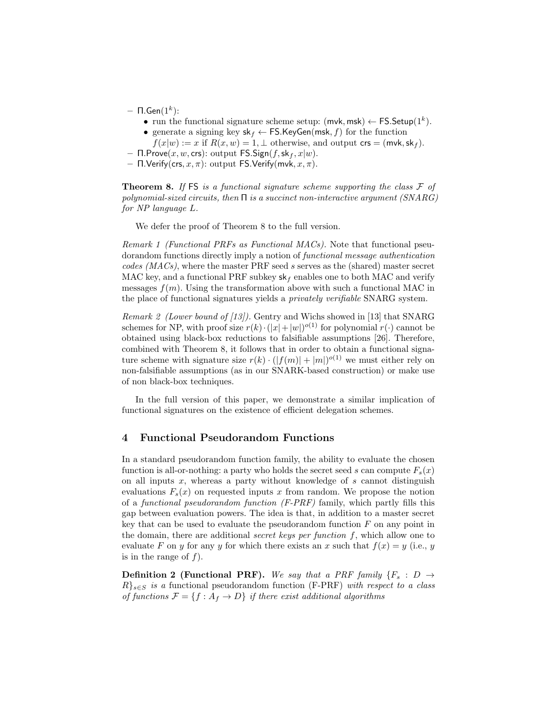- $-$  Π.Gen $(1<sup>k</sup>)$ :
	- run the functional signature scheme setup:  $(\text{mvk}, \text{msk}) \leftarrow \text{FS}.\text{Setup}(1^k)$ .
	- generate a signing key  $sk_f \leftarrow FS.KeyGen(msk, f)$  for the function
	- $f(x|w) := x$  if  $R(x, w) = 1, \perp$  otherwise, and output  $\mathsf{crs} = (\mathsf{mvk}, \mathsf{sk}_f)$ .
- Π.Prove $(x, w, \text{crs})$ : output FS.Sign $(f, sk_f, x|w)$ .
- Π.Verify(crs, x, π): output FS.Verify(mvk, x, π).

**Theorem 8.** If FS is a functional signature scheme supporting the class  $\mathcal F$  of polynomial-sized circuits, then  $\Pi$  is a succinct non-interactive argument (SNARG) for NP language L.

We defer the proof of Theorem 8 to the full version.

Remark 1 (Functional PRFs as Functional MACs). Note that functional pseudorandom functions directly imply a notion of functional message authentication  $codes$  ( $MACs$ ), where the master PRF seed s serves as the (shared) master secret MAC key, and a functional PRF subkey  $sk_f$  enables one to both MAC and verify messages  $f(m)$ . Using the transformation above with such a functional MAC in the place of functional signatures yields a privately verifiable SNARG system.

Remark 2 (Lower bound of [13]). Gentry and Wichs showed in [13] that SNARG schemes for NP, with proof size  $r(k) \cdot (|x|+|w|)^{o(1)}$  for polynomial  $r(\cdot)$  cannot be obtained using black-box reductions to falsifiable assumptions [26]. Therefore, combined with Theorem 8, it follows that in order to obtain a functional signature scheme with signature size  $r(k) \cdot (|f(m)| + |m|)^{o(1)}$  we must either rely on non-falsifiable assumptions (as in our SNARK-based construction) or make use of non black-box techniques.

In the full version of this paper, we demonstrate a similar implication of functional signatures on the existence of efficient delegation schemes.

## 4 Functional Pseudorandom Functions

In a standard pseudorandom function family, the ability to evaluate the chosen function is all-or-nothing: a party who holds the secret seed s can compute  $F_s(x)$ on all inputs  $x$ , whereas a party without knowledge of  $s$  cannot distinguish evaluations  $F_s(x)$  on requested inputs x from random. We propose the notion of a functional pseudorandom function (F-PRF) family, which partly fills this gap between evaluation powers. The idea is that, in addition to a master secret key that can be used to evaluate the pseudorandom function  $F$  on any point in the domain, there are additional *secret keys per function*  $f$ , which allow one to evaluate F on y for any y for which there exists an x such that  $f(x) = y$  (i.e., y is in the range of  $f$ ).

**Definition 2 (Functional PRF).** We say that a PRF family  $\{F_s : D \rightarrow \mathbb{R}\}$  $R$ <sub>s∈S</sub> is a functional pseudorandom function (F-PRF) with respect to a class of functions  $\mathcal{F} = \{f : A_f \to D\}$  if there exist additional algorithms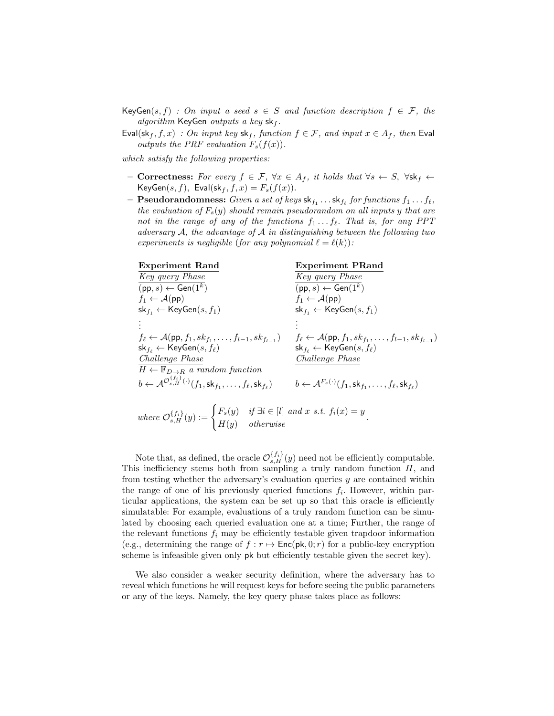- KeyGen $(s, f)$ : On input a seed  $s \in S$  and function description  $f \in \mathcal{F}$ , the algorithm KeyGen outputs a key  $\mathsf{sk}_f$ .
- Eval(sk<sub>f</sub>, f, x) : On input key sk<sub>f</sub>, function  $f \in \mathcal{F}$ , and input  $x \in A_f$ , then Eval outputs the PRF evaluation  $F_s(f(x))$ .

which satisfy the following properties:

- Correctness: For every  $f \in \mathcal{F}$ ,  $\forall x \in A_f$ , it holds that  $\forall s \leftarrow S$ ,  $\forall$ sk<sub>f</sub> ←  $KeyGen(s, f),$  Eval $(\textsf{sk}_f, f, x) = F_s(f(x)).$
- Pseudorandomness: Given a set of keys  $\mathsf{sk}_{f_1} \dots \mathsf{sk}_{f_\ell}$  for functions  $f_1 \dots f_\ell,$ the evaluation of  $F_s(y)$  should remain pseudorandom on all inputs y that are not in the range of any of the functions  $f_1 \ldots f_\ell$ . That is, for any PPT adversary  $A$ , the advantage of  $A$  in distinguishing between the following two experiments is negligible (for any polynomial  $\ell = \ell(k)$ ):

| <b>Experiment Rand</b>                                                                                                        | <b>Experiment PRand</b>                                                                               |
|-------------------------------------------------------------------------------------------------------------------------------|-------------------------------------------------------------------------------------------------------|
| Key query Phase                                                                                                               | Key query Phase                                                                                       |
| $(pp, s) \leftarrow Gen(1^k)$                                                                                                 | $(pp, s) \leftarrow$ Gen $(1^k)$                                                                      |
| $f_1 \leftarrow \mathcal{A}(pp)$                                                                                              | $f_1 \leftarrow \mathcal{A}(pp)$                                                                      |
| $\mathsf{sk}_{f_1} \leftarrow \mathsf{KeyGen}(s, f_1)$                                                                        | $\mathsf{sk}_{f_1} \leftarrow \mathsf{KeyGen}(s, f_1)$                                                |
|                                                                                                                               |                                                                                                       |
| $f_{\ell} \leftarrow \mathcal{A}(pp, f_1, sk_{f_1}, \ldots, f_{l-1}, sk_{f_{l-1}})$                                           | $f_{\ell} \leftarrow \mathcal{A}(pp, f_1, sk_{f_1}, \ldots, f_{l-1}, sk_{f_{l-1}})$                   |
| $\mathsf{sk}_{f_\ell} \leftarrow \mathsf{KeyGen}(s, f_\ell)$                                                                  | $\mathsf{sk}_{f_\ell} \leftarrow \mathsf{KeyGen}(s, f_\ell)$                                          |
| Challenge Phase                                                                                                               | Challenge Phase                                                                                       |
| $H \leftarrow \mathbb{F}_{D \rightarrow R}$ a random function                                                                 |                                                                                                       |
| $b \leftarrow \mathcal{A}^{\mathcal{O}_{s,H}^{\{f_i\}}(\cdot)}(f_1, \mathsf{sk}_{f_1}, \ldots, f_\ell, \mathsf{sk}_{f_\ell})$ | $b \leftarrow \mathcal{A}^{F_s(\cdot)}(f_1, \mathsf{sk}_{f_1}, \ldots, f_\ell, \mathsf{sk}_{f_\ell})$ |
|                                                                                                                               |                                                                                                       |

where 
$$
\mathcal{O}_{s,H}^{\{f_i\}}(y) := \begin{cases} F_s(y) & \text{if } \exists i \in [l] \text{ and } x \text{ s.t. } f_i(x) = y \\ H(y) & \text{otherwise} \end{cases}
$$
.

Note that, as defined, the oracle  $\mathcal{O}_{s,H}^{\{f_i\}}(y)$  need not be efficiently computable. This inefficiency stems both from sampling a truly random function  $H$ , and from testing whether the adversary's evaluation queries  $y$  are contained within the range of one of his previously queried functions  $f_i$ . However, within particular applications, the system can be set up so that this oracle is efficiently simulatable: For example, evaluations of a truly random function can be simulated by choosing each queried evaluation one at a time; Further, the range of the relevant functions  $f_i$  may be efficiently testable given trapdoor information (e.g., determining the range of  $f : r \mapsto \mathsf{Enc}(\mathsf{pk}, 0; r)$  for a public-key encryption scheme is infeasible given only pk but efficiently testable given the secret key).

We also consider a weaker security definition, where the adversary has to reveal which functions he will request keys for before seeing the public parameters or any of the keys. Namely, the key query phase takes place as follows: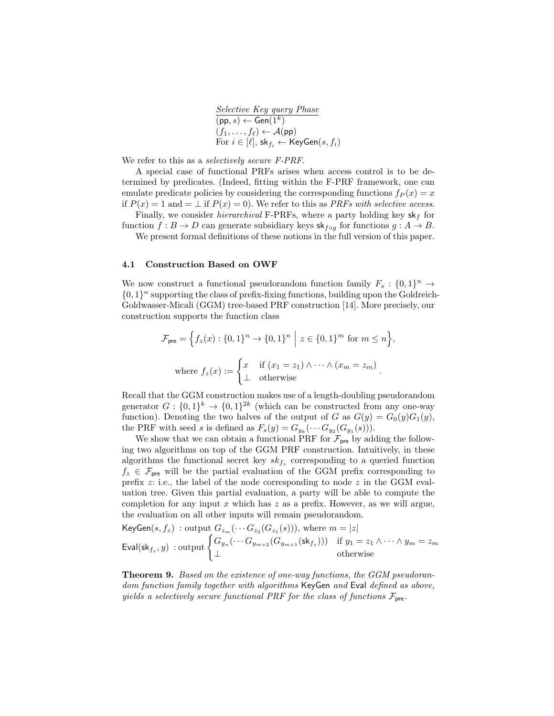Selective Key query Phase  $\overline{({\mathsf{pp}}, s) \leftarrow {\mathsf{Gen}}(1^k)}$  $(f_1, \ldots, f_\ell) \leftarrow \mathcal{A}(\mathsf{pp})$ For  $i \in [\ell],$  sk $_{f_i} \leftarrow \mathsf{KeyGen}(s, f_i)$ 

We refer to this as a selectively secure F-PRF.

A special case of functional PRFs arises when access control is to be determined by predicates. (Indeed, fitting within the F-PRF framework, one can emulate predicate policies by considering the corresponding functions  $f_P(x) = x$ if  $P(x) = 1$  and  $= \perp$  if  $P(x) = 0$ ). We refer to this as *PRFs with selective access*.

Finally, we consider *hierarchical* F-PRFs, where a party holding key  $sk_f$  for function  $f : B \to D$  can generate subsidiary keys  $\mathsf{sk}_{f \circ g}$  for functions  $g : A \to B$ .

We present formal definitions of these notions in the full version of this paper.

#### 4.1 Construction Based on OWF

We now construct a functional pseudorandom function family  $F_s: \{0,1\}^n \to$  $\{0,1\}^n$  supporting the class of prefix-fixing functions, building upon the Goldreich-Goldwasser-Micali (GGM) tree-based PRF construction [14]. More precisely, our construction supports the function class

$$
\mathcal{F}_{\text{pre}} = \left\{ f_z(x) : \{0, 1\}^n \to \{0, 1\}^n \mid z \in \{0, 1\}^m \text{ for } m \le n \right\},\
$$
  
where 
$$
f_z(x) := \begin{cases} x & \text{if } (x_1 = z_1) \land \cdots \land (x_m = z_m) \\ \perp & \text{otherwise} \end{cases}.
$$

Recall that the GGM construction makes use of a length-doubling pseudorandom generator  $G: \{0,1\}^k \to \{0,1\}^{2k}$  (which can be constructed from any one-way function). Denoting the two halves of the output of G as  $G(y) = G_0(y)G_1(y)$ , the PRF with seed s is defined as  $F_s(y) = G_{y_k}(\cdots G_{y_2}(G_{y_1}(s)))$ .

We show that we can obtain a functional PRF for  $\mathcal{F}_{pre}$  by adding the following two algorithms on top of the GGM PRF construction. Intuitively, in these algorithms the functional secret key  $sk_{f_z}$  corresponding to a queried function  $f_z \in \mathcal{F}_{pre}$  will be the partial evaluation of the GGM prefix corresponding to prefix  $z$ : i.e., the label of the node corresponding to node  $z$  in the GGM evaluation tree. Given this partial evaluation, a party will be able to compute the completion for any input x which has  $z$  as a prefix. However, as we will argue, the evaluation on all other inputs will remain pseudorandom.

KeyGen
$$
(s, f_z)
$$
: output  $G_{z_m}(\cdots G_{z_2}(G_{z_1}(s)))$ , where  $m = |z|$   
\nEval $(sk_{f_z}, y)$ : output 
$$
\begin{cases} G_{y_m}(\cdots G_{y_{m+2}}(G_{y_{m+1}}(sk_{f_z}))) & \text{if } y_1 = z_1 \wedge \cdots \wedge y_m = z_m \\ \perp & \text{otherwise} \end{cases}
$$

Theorem 9. Based on the existence of one-way functions, the GGM pseudorandom function family together with algorithms KeyGen and Eval defined as above, yields a selectively secure functional PRF for the class of functions  $\mathcal{F}_{pre}$ .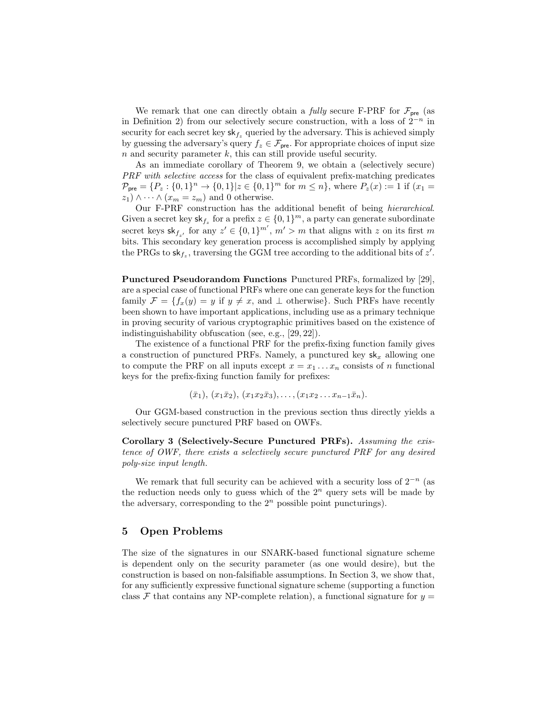We remark that one can directly obtain a *fully* secure F-PRF for  $\mathcal{F}_{pre}$  (as in Definition 2) from our selectively secure construction, with a loss of  $2^{-n}$  in security for each secret key  $sk_f$ , queried by the adversary. This is achieved simply by guessing the adversary's query  $f_z \in \mathcal{F}_{pre}$ . For appropriate choices of input size  $n$  and security parameter  $k$ , this can still provide useful security.

As an immediate corollary of Theorem 9, we obtain a (selectively secure) PRF with selective access for the class of equivalent prefix-matching predicates  $\mathcal{P}_{pre} = \{P_z : \{0,1\}^n \to \{0,1\} | z \in \{0,1\}^m \text{ for } m \leq n\}, \text{ where } P_z(x) := 1 \text{ if } (x_1 = 1)$  $z_1$ )  $\wedge \cdots \wedge (x_m = z_m)$  and 0 otherwise.

Our F-PRF construction has the additional benefit of being hierarchical. Given a secret key  $\mathsf{sk}_{f_z}$  for a prefix  $z \in \{0,1\}^m$ , a party can generate subordinate secret keys  $\mathsf{sk}_{f_{z'}}$  for any  $z' \in \{0,1\}^{m'}$ ,  $m' > m$  that aligns with z on its first m bits. This secondary key generation process is accomplished simply by applying the PRGs to  $\mathsf{sk}_{f_z}$ , traversing the GGM tree according to the additional bits of  $z'$ .

Punctured Pseudorandom Functions Punctured PRFs, formalized by [29], are a special case of functional PRFs where one can generate keys for the function family  $\mathcal{F} = \{f_x(y) = y \text{ if } y \neq x, \text{ and } \bot \text{ otherwise}\}.$  Such PRFs have recently been shown to have important applications, including use as a primary technique in proving security of various cryptographic primitives based on the existence of indistinguishability obfuscation (see, e.g., [29, 22]).

The existence of a functional PRF for the prefix-fixing function family gives a construction of punctured PRFs. Namely, a punctured key  $\mathsf{sk}_x$  allowing one to compute the PRF on all inputs except  $x = x_1 \dots x_n$  consists of n functional keys for the prefix-fixing function family for prefixes:

 $(\bar{x}_1), (x_1\bar{x}_2), (x_1x_2\bar{x}_3), \ldots, (x_1x_2 \ldots x_{n-1}\bar{x}_n).$ 

Our GGM-based construction in the previous section thus directly yields a selectively secure punctured PRF based on OWFs.

Corollary 3 (Selectively-Secure Punctured PRFs). Assuming the existence of OWF, there exists a selectively secure punctured PRF for any desired poly-size input length.

We remark that full security can be achieved with a security loss of  $2^{-n}$  (as the reduction needs only to guess which of the  $2<sup>n</sup>$  query sets will be made by the adversary, corresponding to the  $2^n$  possible point puncturings).

# 5 Open Problems

The size of the signatures in our SNARK-based functional signature scheme is dependent only on the security parameter (as one would desire), but the construction is based on non-falsifiable assumptions. In Section 3, we show that, for any sufficiently expressive functional signature scheme (supporting a function class F that contains any NP-complete relation), a functional signature for  $y =$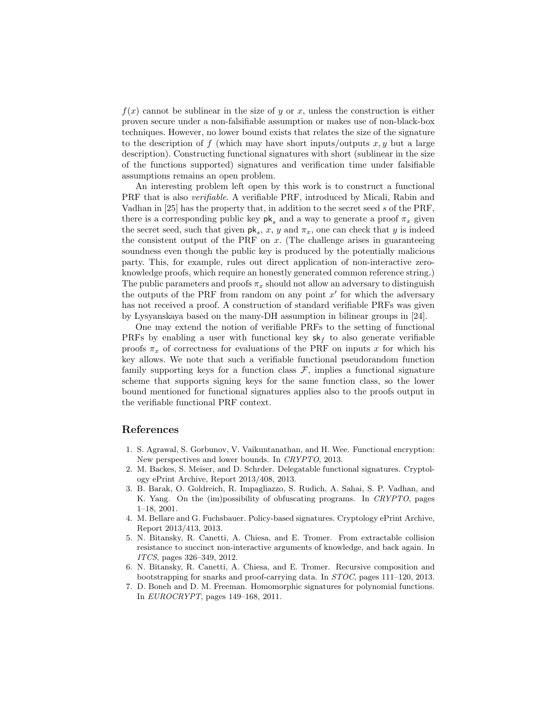$f(x)$  cannot be sublinear in the size of y or x, unless the construction is either proven secure under a non-falsifiable assumption or makes use of non-black-box techniques. However, no lower bound exists that relates the size of the signature to the description of f (which may have short inputs/outputs  $x, y$  but a large description). Constructing functional signatures with short (sublinear in the size of the functions supported) signatures and verification time under falsifiable assumptions remains an open problem.

An interesting problem left open by this work is to construct a functional PRF that is also verifiable. A verifiable PRF, introduced by Micali, Rabin and Vadhan in [25] has the property that, in addition to the secret seed s of the PRF, there is a corresponding public key  $pk_s$  and a way to generate a proof  $\pi_x$  given the secret seed, such that given  $\mathsf{pk}_s$ , x, y and  $\pi_x$ , one can check that y is indeed the consistent output of the PRF on  $x$ . (The challenge arises in guaranteeing soundness even though the public key is produced by the potentially malicious party. This, for example, rules out direct application of non-interactive zeroknowledge proofs, which require an honestly generated common reference string.) The public parameters and proofs  $\pi_x$  should not allow an adversary to distinguish the outputs of the PRF from random on any point  $x'$  for which the adversary has not received a proof. A construction of standard verifiable PRFs was given by Lysyanskaya based on the many-DH assumption in bilinear groups in [24].

One may extend the notion of verifiable PRFs to the setting of functional PRFs by enabling a user with functional key  $sk_f$  to also generate verifiable proofs  $\pi_x$  of correctness for evaluations of the PRF on inputs x for which his key allows. We note that such a verifiable functional pseudorandom function family supporting keys for a function class  $\mathcal{F}$ , implies a functional signature scheme that supports signing keys for the same function class, so the lower bound mentioned for functional signatures applies also to the proofs output in the verifiable functional PRF context.

## References

- 1. S. Agrawal, S. Gorbunov, V. Vaikuntanathan, and H. Wee. Functional encryption: New perspectives and lower bounds. In CRYPTO, 2013.
- 2. M. Backes, S. Meiser, and D. Schrder. Delegatable functional signatures. Cryptology ePrint Archive, Report 2013/408, 2013.
- 3. B. Barak, O. Goldreich, R. Impagliazzo, S. Rudich, A. Sahai, S. P. Vadhan, and K. Yang. On the (im)possibility of obfuscating programs. In CRYPTO, pages 1–18, 2001.
- 4. M. Bellare and G. Fuchsbauer. Policy-based signatures. Cryptology ePrint Archive, Report 2013/413, 2013.
- 5. N. Bitansky, R. Canetti, A. Chiesa, and E. Tromer. From extractable collision resistance to succinct non-interactive arguments of knowledge, and back again. In ITCS, pages 326–349, 2012.
- 6. N. Bitansky, R. Canetti, A. Chiesa, and E. Tromer. Recursive composition and bootstrapping for snarks and proof-carrying data. In STOC, pages 111–120, 2013.
- 7. D. Boneh and D. M. Freeman. Homomorphic signatures for polynomial functions. In EUROCRYPT, pages 149–168, 2011.